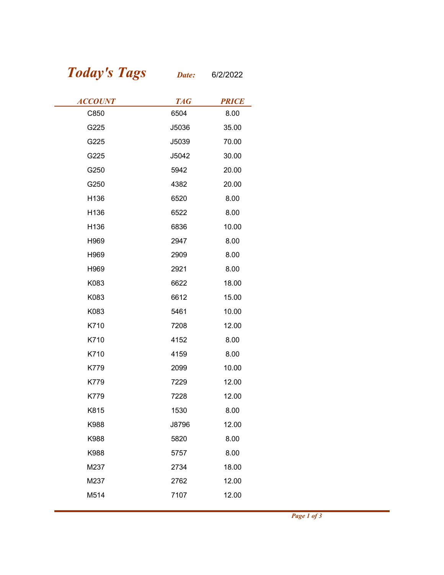## Today's Tags Date: 6/2/2022

| <b>Today's Tags</b> |            |              |  |
|---------------------|------------|--------------|--|
|                     | Date:      | 6/2/2022     |  |
| <b>ACCOUNT</b>      | <b>TAG</b> | <b>PRICE</b> |  |
| C850                | 6504       | 8.00         |  |
| G225                | J5036      | 35.00        |  |
| G225                | J5039      | 70.00        |  |
| G225                | J5042      | 30.00        |  |
| G250                | 5942       | 20.00        |  |
| G250                | 4382       | 20.00        |  |
| H136                | 6520       | 8.00         |  |
| H136                | 6522       | 8.00         |  |
| H136                | 6836       | 10.00        |  |
| H969                | 2947       | 8.00         |  |
| H969                | 2909       | 8.00         |  |
| H969                | 2921       | 8.00         |  |
| K083                | 6622       | 18.00        |  |
| K083                | 6612       | 15.00        |  |
| K083                | 5461       | 10.00        |  |
| K710                | 7208       | 12.00        |  |
| K710                | 4152       | 8.00         |  |
| K710                | 4159       | 8.00         |  |
| K779                | 2099       | 10.00        |  |
| K779                | 7229       | 12.00        |  |
| K779                | 7228       | 12.00        |  |
| K815                | 1530       | 8.00         |  |
| K988                | J8796      | 12.00        |  |
| K988                | 5820       | 8.00         |  |
| K988                | 5757       | 8.00         |  |
| M237                | 2734       | 18.00        |  |
| M237                | 2762       | 12.00        |  |
| M514                | 7107       | 12.00        |  |
|                     |            |              |  |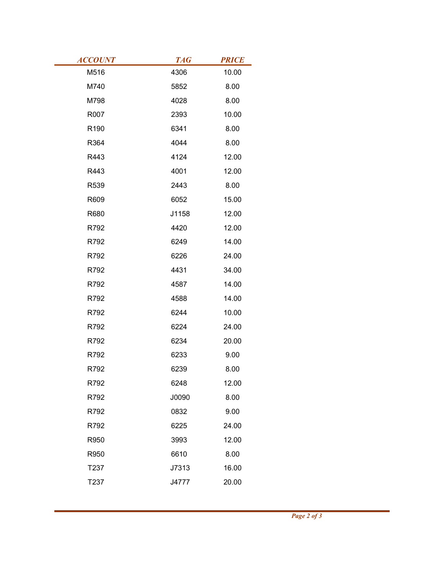| <b>ACCOUNT</b> | <b>TAG</b> | <b>PRICE</b> |
|----------------|------------|--------------|
| M516           | 4306       | 10.00        |
| M740           | 5852       | 8.00         |
| M798           | 4028       | 8.00         |
| R007           | 2393       | 10.00        |
| R190           | 6341       | 8.00         |
| R364           | 4044       | 8.00         |
| R443           | 4124       | 12.00        |
| R443           | 4001       | 12.00        |
| R539           | 2443       | 8.00         |
| R609           | 6052       | 15.00        |
| R680           | J1158      | 12.00        |
| R792           | 4420       | 12.00        |
| R792           | 6249       | 14.00        |
| R792           | 6226       | 24.00        |
| R792           | 4431       | 34.00        |
| R792           | 4587       | 14.00        |
| R792           | 4588       | 14.00        |
| R792           | 6244       | 10.00        |
| R792           | 6224       | 24.00        |
| R792           | 6234       | 20.00        |
| R792           | 6233       | 9.00         |
| R792           | 6239       | 8.00         |
| R792           | 6248       | 12.00        |
| R792           | J0090      | 8.00         |
| R792           | 0832       | 9.00         |
| R792           | 6225       | 24.00        |
| R950           | 3993       | 12.00        |
| R950           | 6610       | 8.00         |
| T237           | J7313      | 16.00        |
| T237           | J4777      | 20.00        |